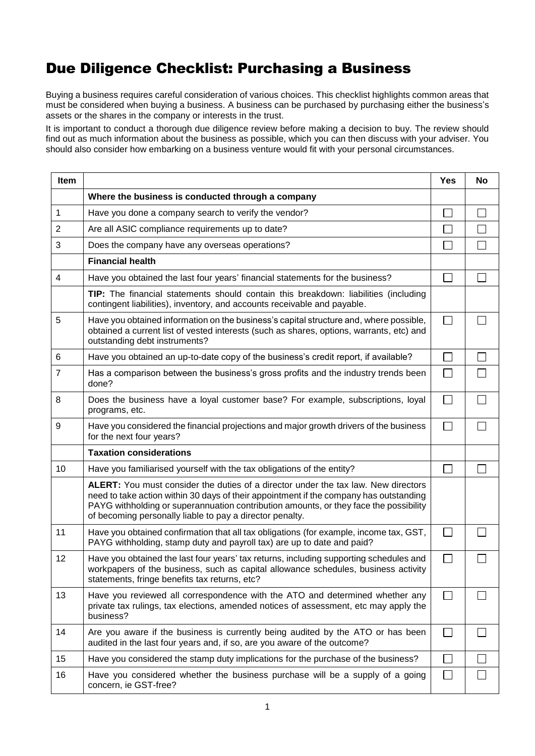## Due Diligence Checklist: Purchasing a Business

Buying a business requires careful consideration of various choices. This checklist highlights common areas that must be considered when buying a business. A business can be purchased by purchasing either the business's assets or the shares in the company or interests in the trust.

It is important to conduct a thorough due diligence review before making a decision to buy. The review should find out as much information about the business as possible, which you can then discuss with your adviser. You should also consider how embarking on a business venture would fit with your personal circumstances.

| Item           |                                                                                                                                                                                                                                                                                                                                   | Yes          | No                       |
|----------------|-----------------------------------------------------------------------------------------------------------------------------------------------------------------------------------------------------------------------------------------------------------------------------------------------------------------------------------|--------------|--------------------------|
|                | Where the business is conducted through a company                                                                                                                                                                                                                                                                                 |              |                          |
| $\mathbf{1}$   | Have you done a company search to verify the vendor?                                                                                                                                                                                                                                                                              |              | $\sim$                   |
| $\overline{2}$ | Are all ASIC compliance requirements up to date?                                                                                                                                                                                                                                                                                  |              |                          |
| 3              | Does the company have any overseas operations?                                                                                                                                                                                                                                                                                    |              | $\overline{\phantom{a}}$ |
|                | <b>Financial health</b>                                                                                                                                                                                                                                                                                                           |              |                          |
| 4              | Have you obtained the last four years' financial statements for the business?                                                                                                                                                                                                                                                     |              |                          |
|                | TIP: The financial statements should contain this breakdown: liabilities (including<br>contingent liabilities), inventory, and accounts receivable and payable.                                                                                                                                                                   |              |                          |
| 5              | Have you obtained information on the business's capital structure and, where possible,<br>obtained a current list of vested interests (such as shares, options, warrants, etc) and<br>outstanding debt instruments?                                                                                                               | $\Box$       |                          |
| 6              | Have you obtained an up-to-date copy of the business's credit report, if available?                                                                                                                                                                                                                                               |              |                          |
| $\overline{7}$ | Has a comparison between the business's gross profits and the industry trends been<br>done?                                                                                                                                                                                                                                       | $\mathbf{L}$ |                          |
| 8              | Does the business have a loyal customer base? For example, subscriptions, loyal<br>programs, etc.                                                                                                                                                                                                                                 | $\Box$       |                          |
| 9              | Have you considered the financial projections and major growth drivers of the business<br>for the next four years?                                                                                                                                                                                                                | $\Box$       |                          |
|                | <b>Taxation considerations</b>                                                                                                                                                                                                                                                                                                    |              |                          |
| 10             | Have you familiarised yourself with the tax obligations of the entity?                                                                                                                                                                                                                                                            |              |                          |
|                | ALERT: You must consider the duties of a director under the tax law. New directors<br>need to take action within 30 days of their appointment if the company has outstanding<br>PAYG withholding or superannuation contribution amounts, or they face the possibility<br>of becoming personally liable to pay a director penalty. |              |                          |
| 11             | Have you obtained confirmation that all tax obligations (for example, income tax, GST,<br>PAYG withholding, stamp duty and payroll tax) are up to date and paid?                                                                                                                                                                  | $\mathbf{L}$ |                          |
| 12             | Have you obtained the last four years' tax returns, including supporting schedules and<br>workpapers of the business, such as capital allowance schedules, business activity<br>statements, fringe benefits tax returns, etc?                                                                                                     | $\Box$       |                          |
| 13             | Have you reviewed all correspondence with the ATO and determined whether any<br>private tax rulings, tax elections, amended notices of assessment, etc may apply the<br>business?                                                                                                                                                 | $\mathsf{L}$ |                          |
| 14             | Are you aware if the business is currently being audited by the ATO or has been<br>audited in the last four years and, if so, are you aware of the outcome?                                                                                                                                                                       | П            |                          |
| 15             | Have you considered the stamp duty implications for the purchase of the business?                                                                                                                                                                                                                                                 |              |                          |
| 16             | Have you considered whether the business purchase will be a supply of a going<br>concern, ie GST-free?                                                                                                                                                                                                                            | $\Box$       |                          |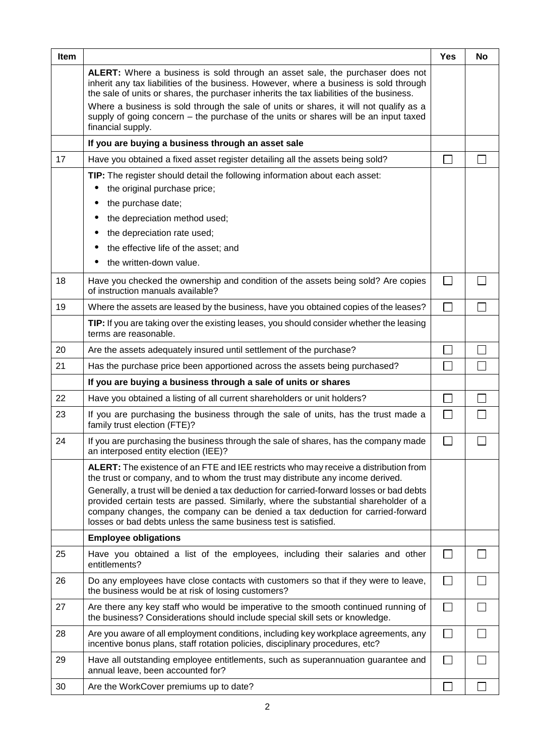| Item |                                                                                                                                                                                                                                                                                                                                                               | <b>Yes</b>               | No |
|------|---------------------------------------------------------------------------------------------------------------------------------------------------------------------------------------------------------------------------------------------------------------------------------------------------------------------------------------------------------------|--------------------------|----|
|      | ALERT: Where a business is sold through an asset sale, the purchaser does not<br>inherit any tax liabilities of the business. However, where a business is sold through<br>the sale of units or shares, the purchaser inherits the tax liabilities of the business.<br>Where a business is sold through the sale of units or shares, it will not qualify as a |                          |    |
|      | supply of going concern - the purchase of the units or shares will be an input taxed<br>financial supply.                                                                                                                                                                                                                                                     |                          |    |
|      | If you are buying a business through an asset sale                                                                                                                                                                                                                                                                                                            |                          |    |
| 17   | Have you obtained a fixed asset register detailing all the assets being sold?                                                                                                                                                                                                                                                                                 |                          |    |
|      | TIP: The register should detail the following information about each asset:<br>the original purchase price;                                                                                                                                                                                                                                                   |                          |    |
|      | the purchase date;                                                                                                                                                                                                                                                                                                                                            |                          |    |
|      | the depreciation method used;                                                                                                                                                                                                                                                                                                                                 |                          |    |
|      | the depreciation rate used;                                                                                                                                                                                                                                                                                                                                   |                          |    |
|      | the effective life of the asset; and                                                                                                                                                                                                                                                                                                                          |                          |    |
|      | the written-down value.                                                                                                                                                                                                                                                                                                                                       |                          |    |
| 18   | Have you checked the ownership and condition of the assets being sold? Are copies<br>of instruction manuals available?                                                                                                                                                                                                                                        | $\mathbf{L}$             |    |
| 19   | Where the assets are leased by the business, have you obtained copies of the leases?                                                                                                                                                                                                                                                                          |                          |    |
|      | TIP: If you are taking over the existing leases, you should consider whether the leasing<br>terms are reasonable.                                                                                                                                                                                                                                             |                          |    |
| 20   | Are the assets adequately insured until settlement of the purchase?                                                                                                                                                                                                                                                                                           |                          |    |
| 21   | Has the purchase price been apportioned across the assets being purchased?                                                                                                                                                                                                                                                                                    |                          |    |
|      | If you are buying a business through a sale of units or shares                                                                                                                                                                                                                                                                                                |                          |    |
| 22   | Have you obtained a listing of all current shareholders or unit holders?                                                                                                                                                                                                                                                                                      |                          |    |
| 23   | If you are purchasing the business through the sale of units, has the trust made a<br>family trust election (FTE)?                                                                                                                                                                                                                                            |                          |    |
| 24   | If you are purchasing the business through the sale of shares, has the company made<br>an interposed entity election (IEE)?                                                                                                                                                                                                                                   |                          |    |
|      | ALERT: The existence of an FTE and IEE restricts who may receive a distribution from<br>the trust or company, and to whom the trust may distribute any income derived.                                                                                                                                                                                        |                          |    |
|      | Generally, a trust will be denied a tax deduction for carried-forward losses or bad debts<br>provided certain tests are passed. Similarly, where the substantial shareholder of a<br>company changes, the company can be denied a tax deduction for carried-forward<br>losses or bad debts unless the same business test is satisfied.                        |                          |    |
|      | <b>Employee obligations</b>                                                                                                                                                                                                                                                                                                                                   |                          |    |
| 25   | Have you obtained a list of the employees, including their salaries and other<br>entitlements?                                                                                                                                                                                                                                                                |                          |    |
| 26   | Do any employees have close contacts with customers so that if they were to leave,<br>the business would be at risk of losing customers?                                                                                                                                                                                                                      | M.                       |    |
| 27   | Are there any key staff who would be imperative to the smooth continued running of<br>the business? Considerations should include special skill sets or knowledge.                                                                                                                                                                                            | $\overline{\phantom{a}}$ |    |
| 28   | Are you aware of all employment conditions, including key workplace agreements, any<br>incentive bonus plans, staff rotation policies, disciplinary procedures, etc?                                                                                                                                                                                          |                          |    |
| 29   | Have all outstanding employee entitlements, such as superannuation guarantee and<br>annual leave, been accounted for?                                                                                                                                                                                                                                         | $\sim$                   |    |
| 30   | Are the WorkCover premiums up to date?                                                                                                                                                                                                                                                                                                                        |                          |    |